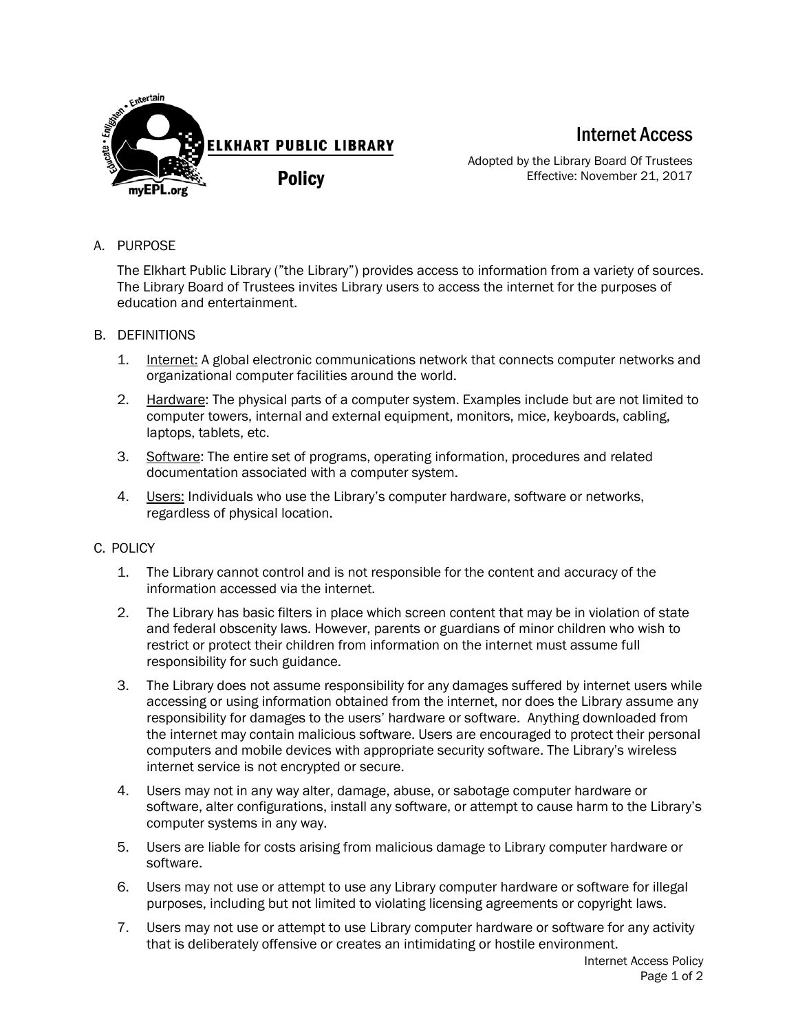

Internet Access

Adopted by the Library Board Of Trustees Effective: November 21, 2017

A. PURPOSE

The Elkhart Public Library ("the Library") provides access to information from a variety of sources. The Library Board of Trustees invites Library users to access the internet for the purposes of education and entertainment.

- B. DEFINITIONS
	- 1. Internet: A global electronic communications network that connects computer networks and organizational computer facilities around the world.
	- 2. Hardware: The physical parts of a computer system. Examples include but are not limited to computer towers, internal and external equipment, monitors, mice, keyboards, cabling, laptops, tablets, etc.
	- 3. Software: The entire set of programs, operating information, procedures and related documentation associated with a computer system.
	- 4. Users: Individuals who use the Library's computer hardware, software or networks, regardless of physical location.

## C. POLICY

- 1. The Library cannot control and is not responsible for the content and accuracy of the information accessed via the internet.
- 2. The Library has basic filters in place which screen content that may be in violation of state and federal obscenity laws. However, parents or guardians of minor children who wish to restrict or protect their children from information on the internet must assume full responsibility for such guidance.
- 3. The Library does not assume responsibility for any damages suffered by internet users while accessing or using information obtained from the internet, nor does the Library assume any responsibility for damages to the users' hardware or software. Anything downloaded from the internet may contain malicious software. Users are encouraged to protect their personal computers and mobile devices with appropriate security software. The Library's wireless internet service is not encrypted or secure.
- 4. Users may not in any way alter, damage, abuse, or sabotage computer hardware or software, alter configurations, install any software, or attempt to cause harm to the Library's computer systems in any way.
- 5. Users are liable for costs arising from malicious damage to Library computer hardware or software.
- 6. Users may not use or attempt to use any Library computer hardware or software for illegal purposes, including but not limited to violating licensing agreements or copyright laws.
- 7. Users may not use or attempt to use Library computer hardware or software for any activity that is deliberately offensive or creates an intimidating or hostile environment.